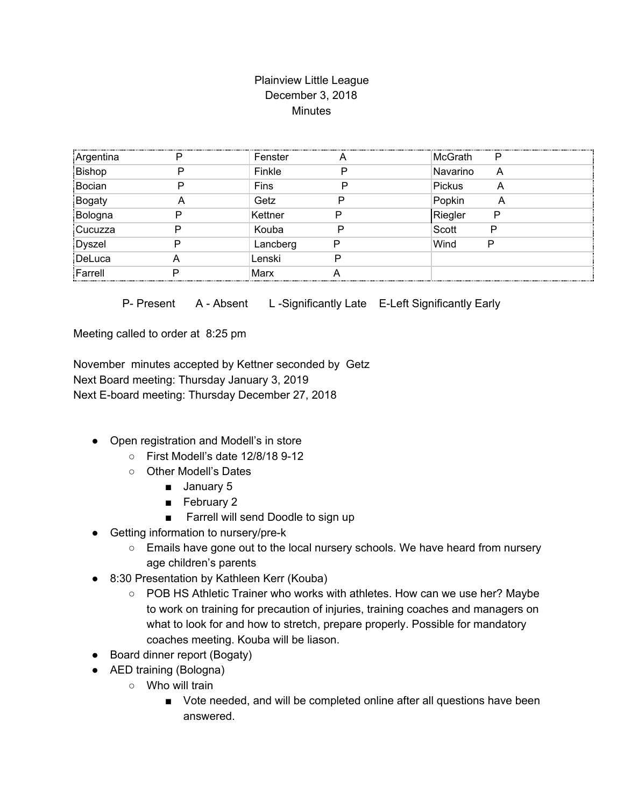## Plainview Little League December 3, 2018 **Minutes**

| Argentina     | D  | Fenster  |   | McGrath<br>Р       |
|---------------|----|----------|---|--------------------|
| Bishop        |    | Finkle   |   | Navarino<br>A      |
| Bocian        | רו | Fins     |   | <b>Pickus</b><br>A |
| <b>Bogaty</b> |    | Getz     |   | Popkin<br>A        |
| Bologna       |    | Kettner  | D | Riegler<br>P       |
| Cucuzza       |    | Kouba    | P | Scott<br>P         |
| Dyszel        |    | Lancberg | P | Wind<br>P          |
| DeLuca        |    | Lenski   | P |                    |
| Farrell       |    | Marx     |   |                    |
|               |    |          |   |                    |

P- Present A - Absent L-Significantly Late E-Left Significantly Early

Meeting called to order at 8:25 pm

November minutes accepted by Kettner seconded by Getz Next Board meeting: Thursday January 3, 2019 Next E-board meeting: Thursday December 27, 2018

- Open registration and Modell's in store
	- First Modell's date 12/8/18 9-12
	- Other Modell's Dates
		- January 5
		- February 2
		- Farrell will send Doodle to sign up
- Getting information to nursery/pre-k
	- Emails have gone out to the local nursery schools. We have heard from nursery age children's parents
- 8:30 Presentation by Kathleen Kerr (Kouba)
	- POB HS Athletic Trainer who works with athletes. How can we use her? Maybe to work on training for precaution of injuries, training coaches and managers on what to look for and how to stretch, prepare properly. Possible for mandatory coaches meeting. Kouba will be liason.
- Board dinner report (Bogaty)
- AED training (Bologna)
	- Who will train
		- Vote needed, and will be completed online after all questions have been answered.